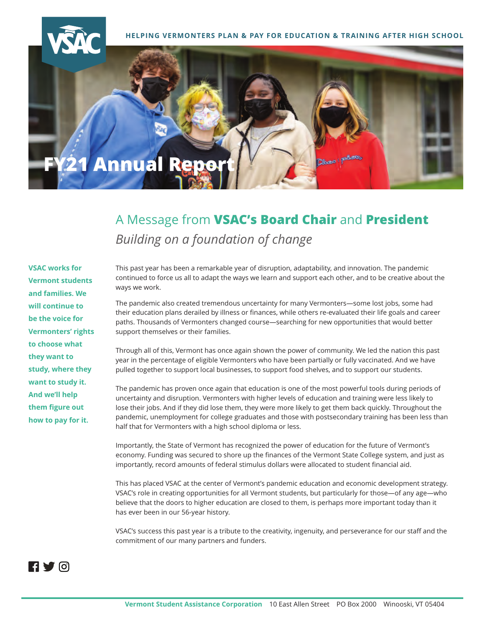

**HELPING VERMONTERS PLAN & PAY FOR EDUCATION & TRAINING AFTER HIGH SCHOOL**



# A Message from **VSAC's Board Chair** and **President**  *Building on a foundation of change*

**VSAC works for Vermont students and families. We will continue to be the voice for Vermonters' rights to choose what they want to study, where they want to study it. And we'll help them figure out how to pay for it.** 

This past year has been a remarkable year of disruption, adaptability, and innovation. The pandemic continued to force us all to adapt the ways we learn and support each other, and to be creative about the ways we work.

The pandemic also created tremendous uncertainty for many Vermonters—some lost jobs, some had their education plans derailed by illness or finances, while others re-evaluated their life goals and career paths. Thousands of Vermonters changed course—searching for new opportunities that would better support themselves or their families.

Through all of this, Vermont has once again shown the power of community. We led the nation this past year in the percentage of eligible Vermonters who have been partially or fully vaccinated. And we have pulled together to support local businesses, to support food shelves, and to support our students.

The pandemic has proven once again that education is one of the most powerful tools during periods of uncertainty and disruption. Vermonters with higher levels of education and training were less likely to lose their jobs. And if they did lose them, they were more likely to get them back quickly. Throughout the pandemic, unemployment for college graduates and those with postsecondary training has been less than half that for Vermonters with a high school diploma or less.

Importantly, the State of Vermont has recognized the power of education for the future of Vermont's economy. Funding was secured to shore up the finances of the Vermont State College system, and just as importantly, record amounts of federal stimulus dollars were allocated to student financial aid.

This has placed VSAC at the center of Vermont's pandemic education and economic development strategy. VSAC's role in creating opportunities for all Vermont students, but particularly for those—of any age—who believe that the doors to higher education are closed to them, is perhaps more important today than it has ever been in our 56-year history.

VSAC's success this past year is a tribute to the creativity, ingenuity, and perseverance for our staff and the commitment of our many partners and funders.

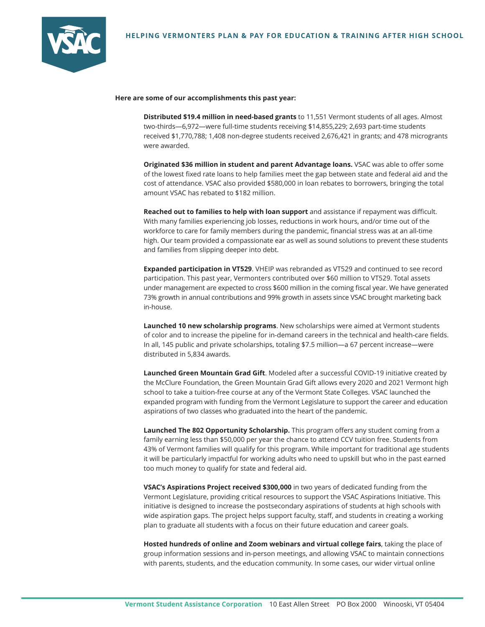

#### Here are some of our accomplishments this past year:

**Distributed \$19.4 million in need-based grants** to 11,551 Vermont students of all ages. Almost two-thirds—6,972—were full-time students receiving \$14,855,229; 2,693 part-time students received \$1,770,788; 1,408 non-degree students received 2,676,421 in grants; and 478 microgrants were awarded.

**Originated \$36 million in student and parent Advantage loans.** VSAC was able to offer some of the lowest fixed rate loans to help families meet the gap between state and federal aid and the cost of attendance. VSAC also provided \$580,000 in loan rebates to borrowers, bringing the total amount VSAC has rebated to \$182 million.

**Reached out to families to help with loan support** and assistance if repayment was difficult. With many families experiencing job losses, reductions in work hours, and/or time out of the workforce to care for family members during the pandemic, financial stress was at an all-time high. Our team provided a compassionate ear as well as sound solutions to prevent these students and families from slipping deeper into debt.

**Expanded participation in VT529**. VHEIP was rebranded as VT529 and continued to see record participation. This past year, Vermonters contributed over \$60 million to VT529. Total assets under management are expected to cross \$600 million in the coming fiscal year. We have generated 73% growth in annual contributions and 99% growth in assets since VSAC brought marketing back in-house.

**Launched 10 new scholarship programs**. New scholarships were aimed at Vermont students of color and to increase the pipeline for in-demand careers in the technical and health-care fields. In all, 145 public and private scholarships, totaling \$7.5 million—a 67 percent increase—were distributed in 5,834 awards.

**Launched Green Mountain Grad Gift**. Modeled after a successful COVID-19 initiative created by the McClure Foundation, the Green Mountain Grad Gift allows every 2020 and 2021 Vermont high school to take a tuition-free course at any of the Vermont State Colleges. VSAC launched the expanded program with funding from the Vermont Legislature to support the career and education aspirations of two classes who graduated into the heart of the pandemic.

**Launched The 802 Opportunity Scholarship.** This program offers any student coming from a family earning less than \$50,000 per year the chance to attend CCV tuition free. Students from 43% of Vermont families will qualify for this program. While important for traditional age students it will be particularly impactful for working adults who need to upskill but who in the past earned too much money to qualify for state and federal aid.

**VSAC's Aspirations Project received \$300,000** in two years of dedicated funding from the Vermont Legislature, providing critical resources to support the VSAC Aspirations Initiative. This initiative is designed to increase the postsecondary aspirations of students at high schools with wide aspiration gaps. The project helps support faculty, staff, and students in creating a working plan to graduate all students with a focus on their future education and career goals.

**Hosted hundreds of online and Zoom webinars and virtual college fairs**, taking the place of group information sessions and in-person meetings, and allowing VSAC to maintain connections with parents, students, and the education community. In some cases, our wider virtual online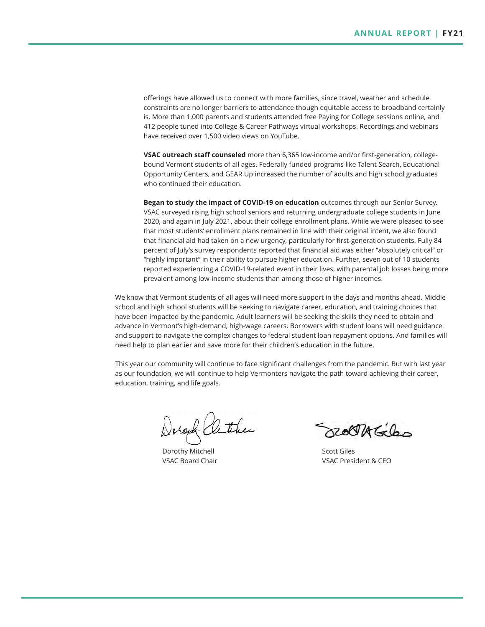offerings have allowed us to connect with more families, since travel, weather and schedule constraints are no longer barriers to attendance though equitable access to broadband certainly is. More than 1,000 parents and students attended free Paying for College sessions online, and 412 people tuned into College & Career Pathways virtual workshops. Recordings and webinars have received over 1,500 video views on YouTube.

**VSAC outreach staff counseled** more than 6,365 low-income and/or first-generation, collegebound Vermont students of all ages. Federally funded programs like Talent Search, Educational Opportunity Centers, and GEAR Up increased the number of adults and high school graduates who continued their education.

**Began to study the impact of COVID-19 on education** outcomes through our Senior Survey. VSAC surveyed rising high school seniors and returning undergraduate college students in June 2020, and again in July 2021, about their college enrollment plans. While we were pleased to see that most students' enrollment plans remained in line with their original intent, we also found that financial aid had taken on a new urgency, particularly for first-generation students. Fully 84 percent of July's survey respondents reported that financial aid was either "absolutely critical" or "highly important" in their ability to pursue higher education. Further, seven out of 10 students reported experiencing a COVID-19-related event in their lives, with parental job losses being more prevalent among low-income students than among those of higher incomes.

We know that Vermont students of all ages will need more support in the days and months ahead. Middle school and high school students will be seeking to navigate career, education, and training choices that have been impacted by the pandemic. Adult learners will be seeking the skills they need to obtain and advance in Vermont's high-demand, high-wage careers. Borrowers with student loans will need guidance and support to navigate the complex changes to federal student loan repayment options. And families will need help to plan earlier and save more for their children's education in the future.

This year our community will continue to face significant challenges from the pandemic. But with last year as our foundation, we will continue to help Vermonters navigate the path toward achieving their career, education, training, and life goals.

och ather

Dorothy Mitchell VSAC Board Chair

ROCTAGE

Scott Giles VSAC President & CEO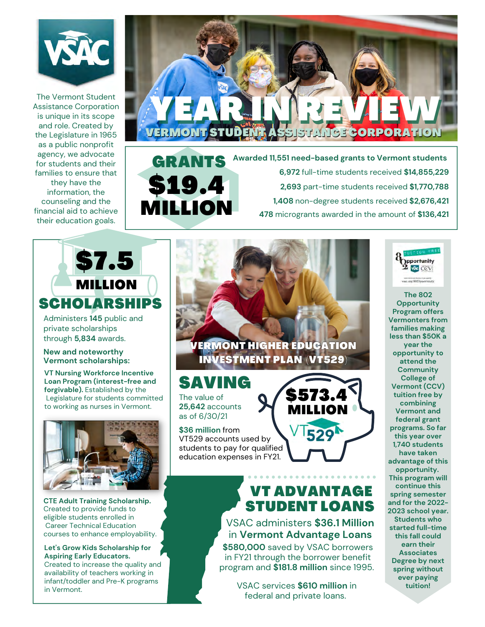

Assistance Corporation is unique in its scope and role. Created by the Legislature in 1965 as a public nonprofit agency, we advocate for students and their families to ensure that they have the information, the counseling and the financial aid to achieve their education goals.



 **Awarded 11,551 need-based grants to Vermont students 6,972** full-time students received **\$14,855,229 2,693** part-time students received **\$1,770,788 1,408** non-degree students received **\$2,676,421 478** microgrants awarded in the amount of **\$136,421**



Administers **145** public and private scholarships through **5,834** awards.

#### **New and noteworthy Vermont scholarships:**

**VT Nursing Workforce Incentive Loan Program (interest-free and forgivable).** Established by the Legislature for students committed to working as nurses in Vermont.



**CTE Adult Training Scholarship.** Created to provide funds to eligible students enrolled in Career Technical Education courses to enhance employability.

**Let's Grow Kids Scholarship for Aspiring Early Educators.** Created to increase the quality and availability of teachers working in infant/toddler and Pre-K programs in Vermont.

**VERMONT HIGHER EDUCATION INVESTMENT PLAN (VT529)** 

# The value of SAVING

\$19.4

GRANT

MILLION

**25,642** accounts as of 6/30/21

**\$36 million** from VT529 accounts used by students to pay for qualified education expenses in FY21.

# VT ADVANTAGE STUDENT LOANS

**\$580,000** saved by VSAC borrowers VSAC administers **\$36.1 Million** in **Vermont Advantage Loans**

in FY21 through the borrower benefit program and **\$181.8 million** since 1995.

VSAC services **\$610 million** in federal and private loans.



**The 802 Opportunity Program offers Vermonters from families making less than \$50K a year the opportunity to attend the Community College of Vermont (CCV) tuition free by combining Vermont and federal grant programs. So far this year over 1,740 students have taken advantage of this opportunity. This program will continue this spring semester and for the 2022- 2023 school year. Students who started full-time this fall could earn their Associates Degree by next spring without ever paying tuition!**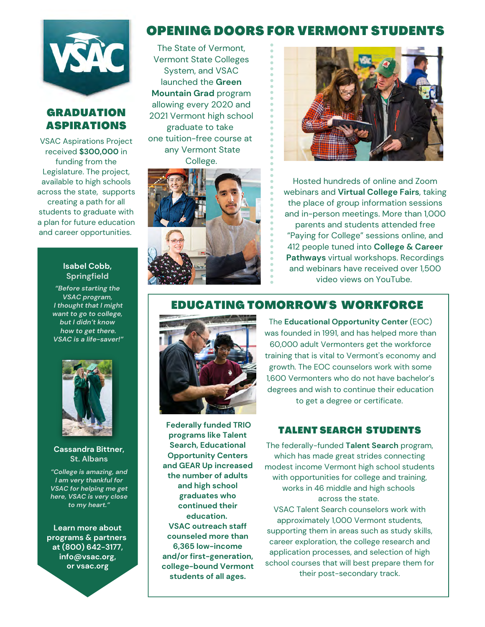

## GRADUATION ASPIRATIONS

VSAC Aspirations Project received **\$300,000** in funding from the Legislature. The project, available to high schools across the state, supports creating a path for all students to graduate with a plan for future education and career opportunities.

#### **Isabel Cobb, Springfield**

*"Before starting the VSAC program, I thought that I might want to go to college, but I didn't know how to get there. VSAC is a life-saver!"*



#### **Cassandra Bittner, St. Albans**

*"College is amazing, and I am very thankful for VSAC for helping me get here, VSAC is very close to my heart."*

**Learn more about programs & partners at (800) 642-3177, info@vsac.org, or vsac.org**

# OPENING DOORS FOR VERMONT STUDENTS

The State of Vermont, Vermont State Colleges System, and VSAC launched the **Green Mountain Grad** program allowing every 2020 and 2021 Vermont high school graduate to take one tuition-free course at any Vermont State College.





Hosted hundreds of online and Zoom webinars and **Virtual College Fairs**, taking the place of group information sessions and in-person meetings. More than 1,000 parents and students attended free "Paying for College" sessions online, and 412 people tuned into **College & Career Pathways** virtual workshops. Recordings and webinars have received over 1,500 video views on YouTube.

# EDUCATING TOMORROW'S WORKFORCE



**Federally funded TRIO programs like Talent Search, Educational Opportunity Centers and GEAR Up increased the number of adults and high school graduates who continued their education. VSAC outreach staff counseled more than 6,365 low-income and/or first-generation, college-bound Vermont students of all ages.**

The **Educational Opportunity Center** (EOC) was founded in 1991, and has helped more than 60,000 adult Vermonters get the workforce training that is vital to Vermont's economy and growth. The EOC counselors work with some 1,600 Vermonters who do not have bachelor's degrees and wish to continue their education to get a degree or certificate.

### TALENT SEARCH STUDENTS

The federally-funded **Talent Search** program, which has made great strides connecting modest income Vermont high school students with opportunities for college and training, works in 46 middle and high schools across the state.

VSAC Talent Search counselors work with approximately 1,000 Vermont students, supporting them in areas such as study skills, career exploration, the college research and application processes, and selection of high school courses that will best prepare them for their post-secondary track.